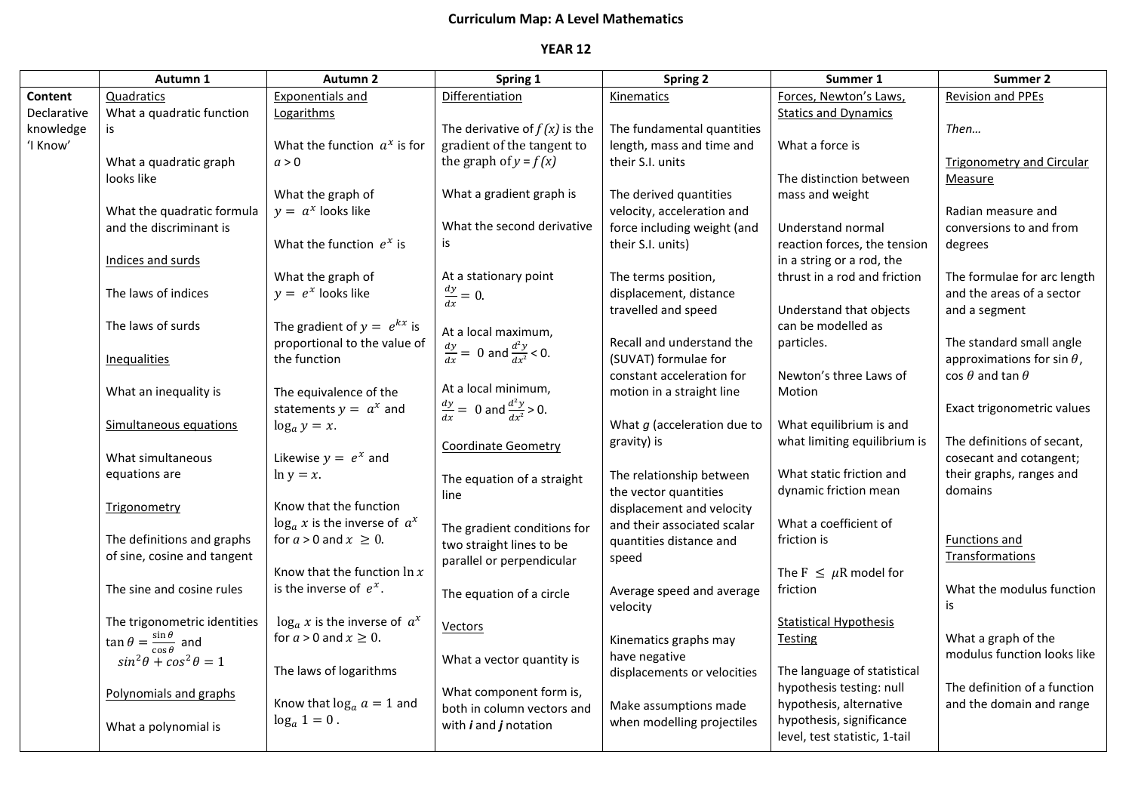## **Curriculum Map: A Level Mathematics**

## **YEAR 12**

|             | Autumn 1                                            | <b>Autumn 2</b>                    | Spring 1                                          | <b>Spring 2</b>               | Summer 1                                      | <b>Summer 2</b>                   |
|-------------|-----------------------------------------------------|------------------------------------|---------------------------------------------------|-------------------------------|-----------------------------------------------|-----------------------------------|
| Content     | Quadratics                                          | <b>Exponentials and</b>            | Differentiation                                   | Kinematics                    | Forces, Newton's Laws,                        | <b>Revision and PPEs</b>          |
| Declarative | What a quadratic function                           | Logarithms                         |                                                   |                               | <b>Statics and Dynamics</b>                   |                                   |
| knowledge   | is                                                  |                                    | The derivative of $f(x)$ is the                   | The fundamental quantities    |                                               | Then                              |
| 'I Know'    |                                                     | What the function $a^x$ is for     | gradient of the tangent to                        | length, mass and time and     | What a force is                               |                                   |
|             | What a quadratic graph                              | a > 0                              | the graph of $y = f(x)$                           | their S.I. units              |                                               | <b>Trigonometry and Circular</b>  |
|             | looks like                                          |                                    |                                                   |                               | The distinction between                       | <b>Measure</b>                    |
|             |                                                     | What the graph of                  | What a gradient graph is                          | The derived quantities        | mass and weight                               |                                   |
|             | What the quadratic formula                          | $y = a^x$ looks like               |                                                   | velocity, acceleration and    |                                               | Radian measure and                |
|             | and the discriminant is                             |                                    | What the second derivative                        | force including weight (and   | Understand normal                             | conversions to and from           |
|             |                                                     | What the function $e^x$ is         | is                                                | their S.I. units)             | reaction forces, the tension                  | degrees                           |
|             | Indices and surds                                   |                                    |                                                   |                               | in a string or a rod, the                     |                                   |
|             |                                                     | What the graph of                  | At a stationary point                             | The terms position,           | thrust in a rod and friction                  | The formulae for arc length       |
|             | The laws of indices                                 | $y = e^x$ looks like               | $\frac{dy}{dx} = 0.$                              | displacement, distance        |                                               | and the areas of a sector         |
|             | The laws of surds                                   | The gradient of $y = e^{kx}$ is    |                                                   | travelled and speed           | Understand that objects<br>can be modelled as | and a segment                     |
|             |                                                     | proportional to the value of       | At a local maximum,                               | Recall and understand the     | particles.                                    | The standard small angle          |
|             | Inequalities                                        | the function                       | $\frac{dy}{dx} = 0$ and $\frac{d^2y}{dx^2} < 0$ . | (SUVAT) formulae for          |                                               | approximations for sin $\theta$ , |
|             |                                                     |                                    |                                                   | constant acceleration for     | Newton's three Laws of                        | $\cos \theta$ and tan $\theta$    |
|             | What an inequality is                               | The equivalence of the             | At a local minimum,                               | motion in a straight line     | Motion                                        |                                   |
|             |                                                     | statements $y = a^x$ and           | $\frac{dy}{dx} = 0$ and $\frac{d^2y}{dx^2} > 0$ . |                               |                                               | Exact trigonometric values        |
|             | Simultaneous equations                              | $\log_a y = x.$                    |                                                   | What $g$ (acceleration due to | What equilibrium is and                       |                                   |
|             |                                                     |                                    |                                                   | gravity) is                   | what limiting equilibrium is                  | The definitions of secant,        |
|             | What simultaneous                                   | Likewise $y = e^x$ and             | <b>Coordinate Geometry</b>                        |                               |                                               | cosecant and cotangent;           |
|             | equations are                                       | $\ln y = x$ .                      | The equation of a straight                        | The relationship between      | What static friction and                      | their graphs, ranges and          |
|             |                                                     |                                    | line                                              | the vector quantities         | dynamic friction mean                         | domains                           |
|             | <b>Trigonometry</b>                                 | Know that the function             |                                                   | displacement and velocity     |                                               |                                   |
|             |                                                     | $\log_a x$ is the inverse of $a^x$ | The gradient conditions for                       | and their associated scalar   | What a coefficient of                         |                                   |
|             | The definitions and graphs                          | for $a > 0$ and $x \ge 0$ .        | two straight lines to be                          | quantities distance and       | friction is                                   | Functions and                     |
|             | of sine, cosine and tangent                         |                                    | parallel or perpendicular                         | speed                         |                                               | Transformations                   |
|             |                                                     | Know that the function $\ln x$     |                                                   |                               | The $F \leq \mu R$ model for                  |                                   |
|             | The sine and cosine rules                           | is the inverse of $e^x$ .          | The equation of a circle                          | Average speed and average     | friction                                      | What the modulus function         |
|             |                                                     |                                    |                                                   | velocity                      |                                               | is                                |
|             | The trigonometric identities                        | $\log_a x$ is the inverse of $a^x$ | Vectors                                           |                               | <b>Statistical Hypothesis</b>                 |                                   |
|             | $\tan \theta = \frac{\sin \theta}{\cos \theta}$ and | for $a > 0$ and $x \ge 0$ .        |                                                   | Kinematics graphs may         | Testing                                       | What a graph of the               |
|             | $sin^2\theta + cos^2\theta = 1$                     |                                    | What a vector quantity is                         | have negative                 |                                               | modulus function looks like       |
|             |                                                     | The laws of logarithms             |                                                   | displacements or velocities   | The language of statistical                   |                                   |
|             | Polynomials and graphs                              |                                    | What component form is,                           |                               | hypothesis testing: null                      | The definition of a function      |
|             |                                                     | Know that $\log_a a = 1$ and       | both in column vectors and                        | Make assumptions made         | hypothesis, alternative                       | and the domain and range          |
|             | What a polynomial is                                | $\log_a 1 = 0$ .                   | with $i$ and $j$ notation                         | when modelling projectiles    | hypothesis, significance                      |                                   |
|             |                                                     |                                    |                                                   |                               | level, test statistic, 1-tail                 |                                   |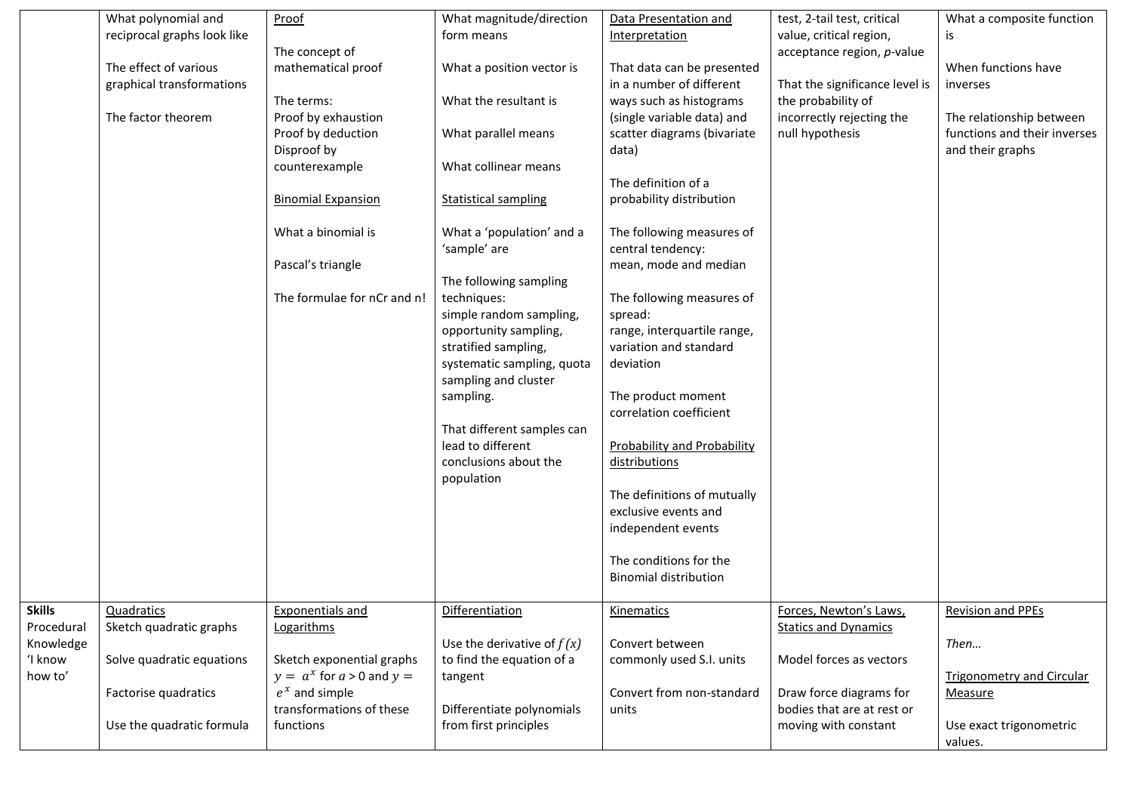|                                          | What polynomial and<br>reciprocal graphs look like | Proof<br>The concept of                                                                  | What magnitude/direction<br>form means                                                                                                                                                                                                                                         | Data Presentation and<br>Interpretation                                                                                                                                                                                                                                                         | test, 2-tail test, critical<br>value, critical region,<br>acceptance region, p-value | What a composite function<br>is                                              |
|------------------------------------------|----------------------------------------------------|------------------------------------------------------------------------------------------|--------------------------------------------------------------------------------------------------------------------------------------------------------------------------------------------------------------------------------------------------------------------------------|-------------------------------------------------------------------------------------------------------------------------------------------------------------------------------------------------------------------------------------------------------------------------------------------------|--------------------------------------------------------------------------------------|------------------------------------------------------------------------------|
|                                          | The effect of various<br>graphical transformations | mathematical proof                                                                       | What a position vector is                                                                                                                                                                                                                                                      | That data can be presented<br>in a number of different                                                                                                                                                                                                                                          | That the significance level is                                                       | When functions have<br>inverses                                              |
|                                          | The factor theorem                                 | The terms:<br>Proof by exhaustion<br>Proof by deduction<br>Disproof by<br>counterexample | What the resultant is<br>What parallel means<br>What collinear means                                                                                                                                                                                                           | ways such as histograms<br>(single variable data) and<br>scatter diagrams (bivariate<br>data)                                                                                                                                                                                                   | the probability of<br>incorrectly rejecting the<br>null hypothesis                   | The relationship between<br>functions and their inverses<br>and their graphs |
|                                          |                                                    | <b>Binomial Expansion</b>                                                                | <b>Statistical sampling</b>                                                                                                                                                                                                                                                    | The definition of a<br>probability distribution                                                                                                                                                                                                                                                 |                                                                                      |                                                                              |
|                                          |                                                    | What a binomial is<br>Pascal's triangle                                                  | What a 'population' and a<br>'sample' are                                                                                                                                                                                                                                      | The following measures of<br>central tendency:<br>mean, mode and median                                                                                                                                                                                                                         |                                                                                      |                                                                              |
|                                          |                                                    | The formulae for nCr and n!                                                              | The following sampling<br>techniques:<br>simple random sampling,<br>opportunity sampling,<br>stratified sampling,<br>systematic sampling, quota<br>sampling and cluster<br>sampling.<br>That different samples can<br>lead to different<br>conclusions about the<br>population | The following measures of<br>spread:<br>range, interquartile range,<br>variation and standard<br>deviation<br>The product moment<br>correlation coefficient<br><b>Probability and Probability</b><br>distributions<br>The definitions of mutually<br>exclusive events and<br>independent events |                                                                                      |                                                                              |
|                                          |                                                    |                                                                                          |                                                                                                                                                                                                                                                                                | The conditions for the<br><b>Binomial distribution</b>                                                                                                                                                                                                                                          |                                                                                      |                                                                              |
| <b>Skills</b><br>Procedural<br>Knowledge | Quadratics<br>Sketch quadratic graphs              | <b>Exponentials and</b><br>Logarithms                                                    | Differentiation<br>Use the derivative of $f(x)$                                                                                                                                                                                                                                | Kinematics<br>Convert between                                                                                                                                                                                                                                                                   | Forces, Newton's Laws,<br><b>Statics and Dynamics</b>                                | <b>Revision and PPEs</b><br>Then                                             |
| 'I know<br>how to'                       | Solve quadratic equations<br>Factorise quadratics  | Sketch exponential graphs<br>$y = a^x$ for $a > 0$ and $y =$<br>$e^x$ and simple         | to find the equation of a<br>tangent                                                                                                                                                                                                                                           | commonly used S.I. units<br>Convert from non-standard                                                                                                                                                                                                                                           | Model forces as vectors<br>Draw force diagrams for                                   | <b>Trigonometry and Circular</b><br><b>Measure</b>                           |
|                                          | Use the quadratic formula                          | transformations of these<br>functions                                                    | Differentiate polynomials<br>from first principles                                                                                                                                                                                                                             | units                                                                                                                                                                                                                                                                                           | bodies that are at rest or<br>moving with constant                                   | Use exact trigonometric<br>values.                                           |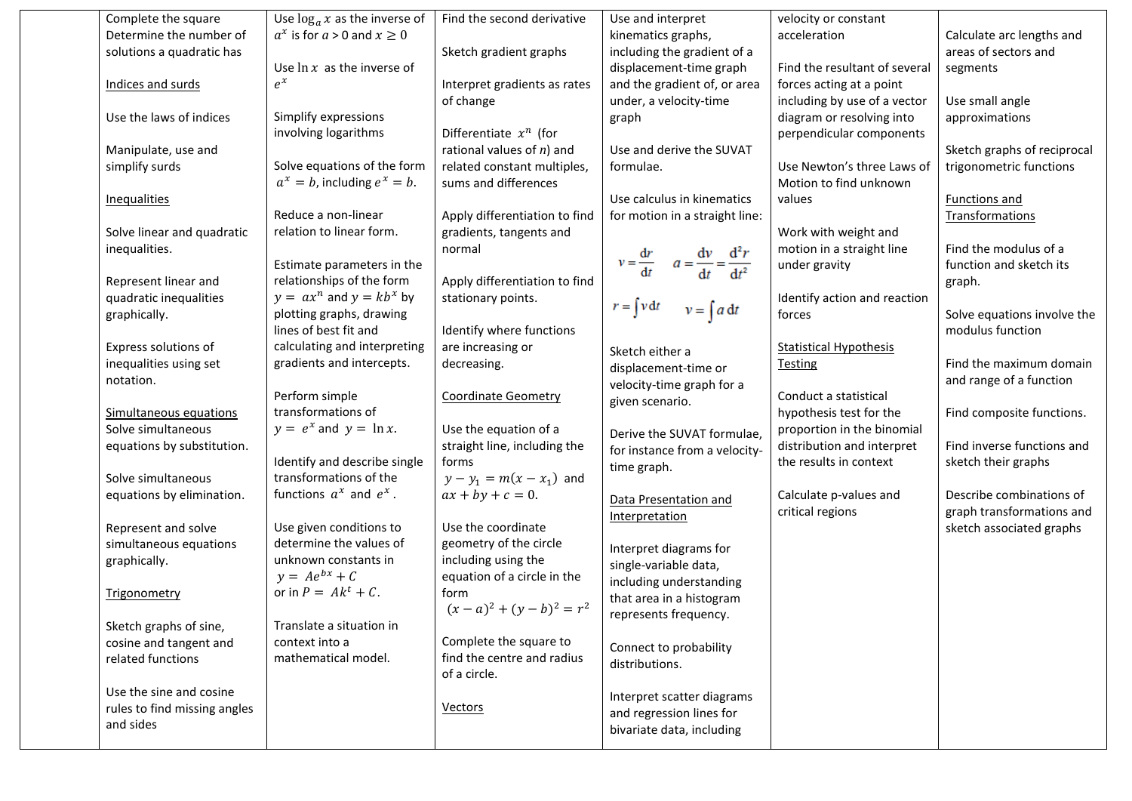| Complete the square          | Use $\log_a x$ as the inverse of   | Find the second derivative    | Use and interpret                                           | velocity or constant          |                             |
|------------------------------|------------------------------------|-------------------------------|-------------------------------------------------------------|-------------------------------|-----------------------------|
| Determine the number of      | $a^x$ is for $a > 0$ and $x \ge 0$ |                               | kinematics graphs,                                          | acceleration                  | Calculate arc lengths and   |
| solutions a quadratic has    |                                    | Sketch gradient graphs        | including the gradient of a                                 |                               | areas of sectors and        |
|                              | Use $\ln x$ as the inverse of      |                               | displacement-time graph                                     | Find the resultant of several | segments                    |
| Indices and surds            | $e^x$                              | Interpret gradients as rates  | and the gradient of, or area                                | forces acting at a point      |                             |
|                              |                                    | of change                     | under, a velocity-time                                      | including by use of a vector  | Use small angle             |
| Use the laws of indices      | Simplify expressions               |                               | graph                                                       | diagram or resolving into     | approximations              |
|                              | involving logarithms               | Differentiate $x^n$ (for      |                                                             | perpendicular components      |                             |
| Manipulate, use and          |                                    | rational values of $n$ ) and  | Use and derive the SUVAT                                    |                               | Sketch graphs of reciprocal |
| simplify surds               | Solve equations of the form        | related constant multiples,   | formulae.                                                   | Use Newton's three Laws of    | trigonometric functions     |
|                              | $a^x = b$ , including $e^x = b$ .  | sums and differences          |                                                             | Motion to find unknown        |                             |
| <b>Inequalities</b>          |                                    |                               | Use calculus in kinematics                                  | values                        | Functions and               |
|                              | Reduce a non-linear                | Apply differentiation to find | for motion in a straight line:                              |                               | Transformations             |
| Solve linear and quadratic   | relation to linear form.           | gradients, tangents and       |                                                             | Work with weight and          |                             |
| inequalities.                |                                    | normal                        |                                                             | motion in a straight line     | Find the modulus of a       |
|                              | Estimate parameters in the         |                               | $v = \frac{dr}{dt}$ $a = \frac{dv}{dt} = \frac{d^2r}{dt^2}$ | under gravity                 | function and sketch its     |
| Represent linear and         | relationships of the form          | Apply differentiation to find |                                                             |                               | graph.                      |
| quadratic inequalities       | $y = ax^n$ and $y = kb^x$ by       | stationary points.            |                                                             | Identify action and reaction  |                             |
| graphically.                 | plotting graphs, drawing           |                               | $r = \int v dt$ $v = \int a dt$                             | forces                        | Solve equations involve the |
|                              | lines of best fit and              | Identify where functions      |                                                             |                               | modulus function            |
| Express solutions of         | calculating and interpreting       | are increasing or             | Sketch either a                                             | <b>Statistical Hypothesis</b> |                             |
| inequalities using set       | gradients and intercepts.          | decreasing.                   | displacement-time or                                        | <b>Testing</b>                | Find the maximum domain     |
| notation.                    |                                    |                               | velocity-time graph for a                                   |                               | and range of a function     |
|                              | Perform simple                     | <b>Coordinate Geometry</b>    | given scenario.                                             | Conduct a statistical         |                             |
| Simultaneous equations       | transformations of                 |                               |                                                             | hypothesis test for the       | Find composite functions.   |
| Solve simultaneous           | $y = e^x$ and $y = \ln x$ .        | Use the equation of a         | Derive the SUVAT formulae,                                  | proportion in the binomial    |                             |
| equations by substitution.   |                                    | straight line, including the  | for instance from a velocity-                               | distribution and interpret    | Find inverse functions and  |
|                              | Identify and describe single       | forms                         | time graph.                                                 | the results in context        | sketch their graphs         |
| Solve simultaneous           | transformations of the             | $y - y_1 = m(x - x_1)$ and    |                                                             |                               |                             |
| equations by elimination.    | functions $a^x$ and $e^x$ .        | $ax + by + c = 0.$            | Data Presentation and                                       | Calculate p-values and        | Describe combinations of    |
|                              |                                    |                               | Interpretation                                              | critical regions              | graph transformations and   |
| Represent and solve          | Use given conditions to            | Use the coordinate            |                                                             |                               | sketch associated graphs    |
| simultaneous equations       | determine the values of            | geometry of the circle        | Interpret diagrams for                                      |                               |                             |
| graphically.                 | unknown constants in               | including using the           | single-variable data,                                       |                               |                             |
|                              | $y = Ae^{bx} + C$                  | equation of a circle in the   | including understanding                                     |                               |                             |
| Trigonometry                 | or in $P = Ak^t + C$ .             | form                          | that area in a histogram                                    |                               |                             |
|                              |                                    | $(x-a)^2 + (y-b)^2 = r^2$     | represents frequency.                                       |                               |                             |
| Sketch graphs of sine,       | Translate a situation in           |                               |                                                             |                               |                             |
| cosine and tangent and       | context into a                     | Complete the square to        | Connect to probability                                      |                               |                             |
| related functions            | mathematical model.                | find the centre and radius    | distributions.                                              |                               |                             |
|                              |                                    | of a circle.                  |                                                             |                               |                             |
| Use the sine and cosine      |                                    |                               | Interpret scatter diagrams                                  |                               |                             |
| rules to find missing angles |                                    | <b>Vectors</b>                | and regression lines for                                    |                               |                             |
| and sides                    |                                    |                               | bivariate data, including                                   |                               |                             |
|                              |                                    |                               |                                                             |                               |                             |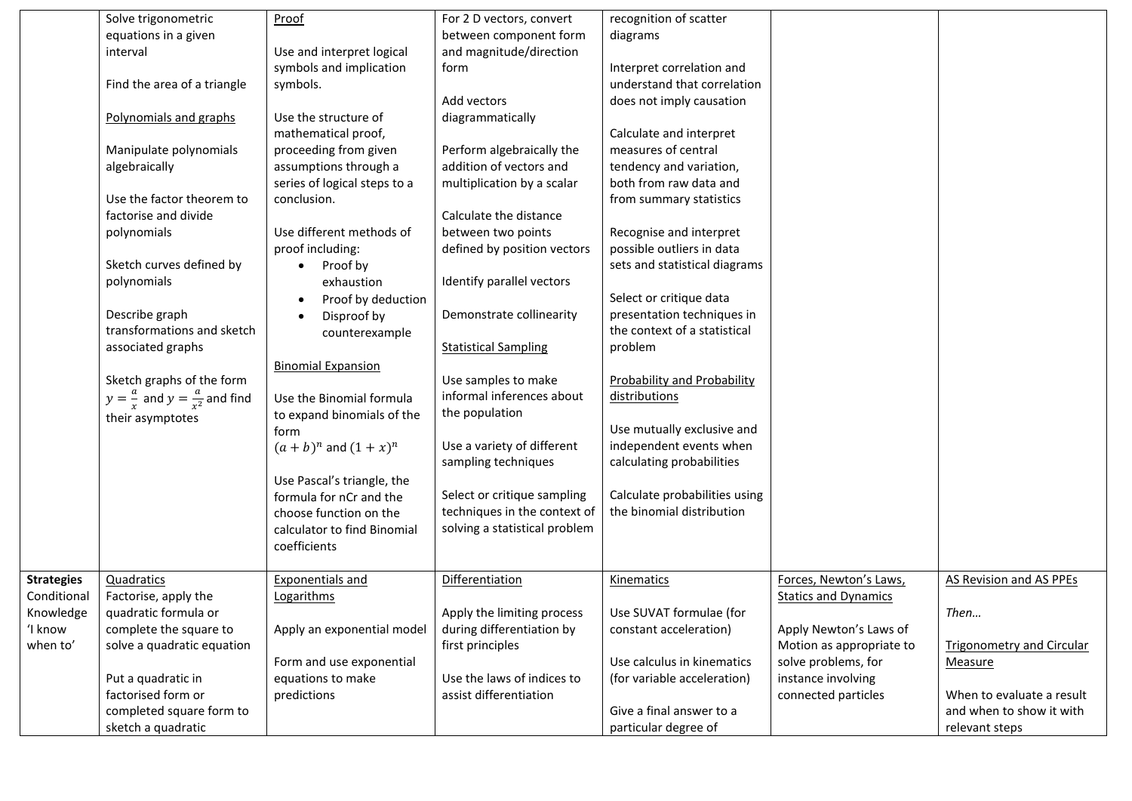|                   | Solve trigonometric                                | Proof                        | For 2 D vectors, convert      | recognition of scatter             |                             |                                  |
|-------------------|----------------------------------------------------|------------------------------|-------------------------------|------------------------------------|-----------------------------|----------------------------------|
|                   | equations in a given                               |                              | between component form        | diagrams                           |                             |                                  |
|                   | interval                                           | Use and interpret logical    | and magnitude/direction       |                                    |                             |                                  |
|                   |                                                    | symbols and implication      | form                          | Interpret correlation and          |                             |                                  |
|                   | Find the area of a triangle                        | symbols.                     |                               | understand that correlation        |                             |                                  |
|                   |                                                    |                              | Add vectors                   | does not imply causation           |                             |                                  |
|                   | Polynomials and graphs                             | Use the structure of         | diagrammatically              |                                    |                             |                                  |
|                   |                                                    | mathematical proof,          |                               | Calculate and interpret            |                             |                                  |
|                   | Manipulate polynomials                             | proceeding from given        | Perform algebraically the     | measures of central                |                             |                                  |
|                   | algebraically                                      | assumptions through a        | addition of vectors and       | tendency and variation,            |                             |                                  |
|                   |                                                    | series of logical steps to a | multiplication by a scalar    | both from raw data and             |                             |                                  |
|                   | Use the factor theorem to                          | conclusion.                  |                               | from summary statistics            |                             |                                  |
|                   | factorise and divide                               |                              | Calculate the distance        |                                    |                             |                                  |
|                   | polynomials                                        | Use different methods of     | between two points            | Recognise and interpret            |                             |                                  |
|                   |                                                    | proof including:             | defined by position vectors   | possible outliers in data          |                             |                                  |
|                   | Sketch curves defined by                           | Proof by                     |                               | sets and statistical diagrams      |                             |                                  |
|                   | polynomials                                        | exhaustion                   | Identify parallel vectors     |                                    |                             |                                  |
|                   |                                                    | Proof by deduction           |                               | Select or critique data            |                             |                                  |
|                   | Describe graph                                     | Disproof by                  | Demonstrate collinearity      | presentation techniques in         |                             |                                  |
|                   | transformations and sketch                         | counterexample               |                               | the context of a statistical       |                             |                                  |
|                   | associated graphs                                  |                              | <b>Statistical Sampling</b>   | problem                            |                             |                                  |
|                   |                                                    | <b>Binomial Expansion</b>    |                               |                                    |                             |                                  |
|                   | Sketch graphs of the form                          |                              | Use samples to make           | <b>Probability and Probability</b> |                             |                                  |
|                   | $y = \frac{a}{x}$ and $y = \frac{a}{x^2}$ and find | Use the Binomial formula     | informal inferences about     | distributions                      |                             |                                  |
|                   | their asymptotes                                   | to expand binomials of the   | the population                |                                    |                             |                                  |
|                   |                                                    | form                         |                               | Use mutually exclusive and         |                             |                                  |
|                   |                                                    | $(a + b)^n$ and $(1 + x)^n$  | Use a variety of different    | independent events when            |                             |                                  |
|                   |                                                    |                              | sampling techniques           | calculating probabilities          |                             |                                  |
|                   |                                                    | Use Pascal's triangle, the   |                               |                                    |                             |                                  |
|                   |                                                    | formula for nCr and the      | Select or critique sampling   | Calculate probabilities using      |                             |                                  |
|                   |                                                    | choose function on the       | techniques in the context of  | the binomial distribution          |                             |                                  |
|                   |                                                    | calculator to find Binomial  | solving a statistical problem |                                    |                             |                                  |
|                   |                                                    | coefficients                 |                               |                                    |                             |                                  |
|                   |                                                    |                              |                               |                                    |                             |                                  |
| <b>Strategies</b> | Quadratics                                         | <b>Exponentials and</b>      | Differentiation               | Kinematics                         | Forces, Newton's Laws,      | AS Revision and AS PPEs          |
| Conditional       | Factorise, apply the                               | Logarithms                   |                               |                                    | <b>Statics and Dynamics</b> |                                  |
| Knowledge         | quadratic formula or                               |                              | Apply the limiting process    | Use SUVAT formulae (for            |                             | Then                             |
| 'I know           | complete the square to                             | Apply an exponential model   | during differentiation by     | constant acceleration)             | Apply Newton's Laws of      |                                  |
| when to'          | solve a quadratic equation                         |                              | first principles              |                                    | Motion as appropriate to    | <b>Trigonometry and Circular</b> |
|                   |                                                    | Form and use exponential     |                               | Use calculus in kinematics         | solve problems, for         | Measure                          |
|                   | Put a quadratic in                                 | equations to make            | Use the laws of indices to    | (for variable acceleration)        | instance involving          |                                  |
|                   | factorised form or                                 | predictions                  | assist differentiation        |                                    | connected particles         | When to evaluate a result        |
|                   | completed square form to                           |                              |                               | Give a final answer to a           |                             | and when to show it with         |
|                   | sketch a quadratic                                 |                              |                               | particular degree of               |                             | relevant steps                   |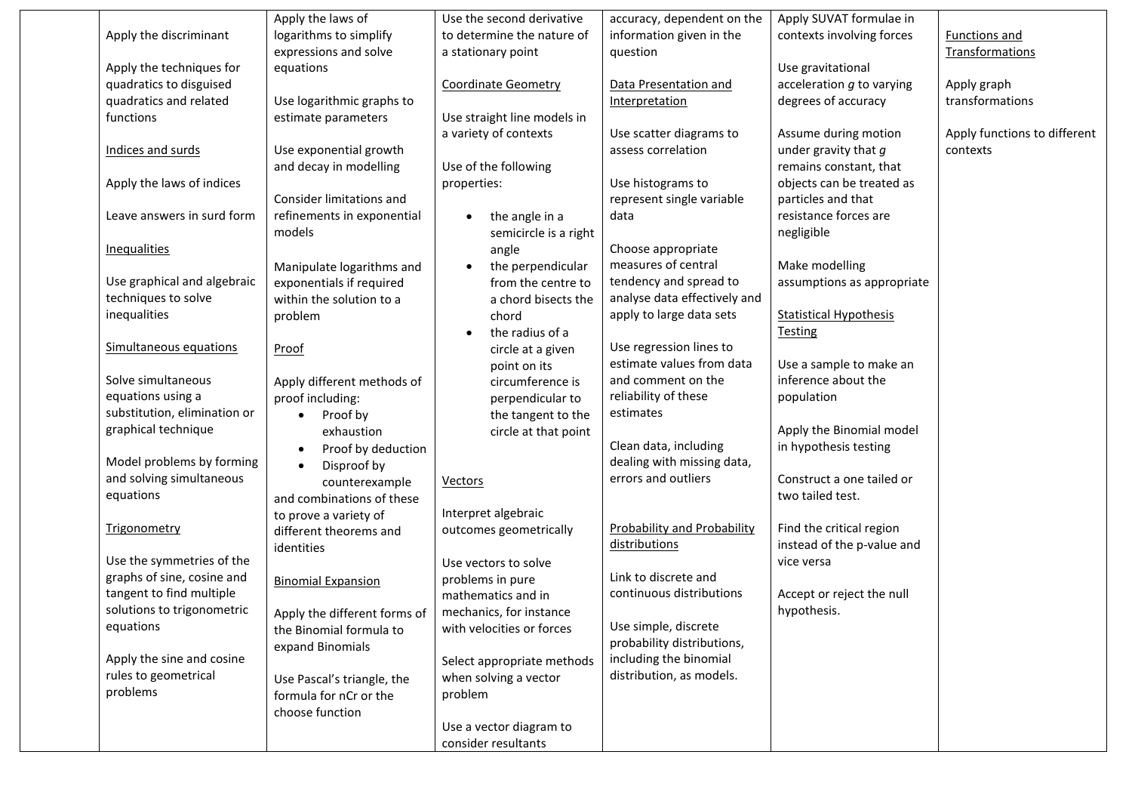|                              | Apply the laws of            | Use the second derivative   | accuracy, dependent on the         | Apply SUVAT formulae in       |                              |
|------------------------------|------------------------------|-----------------------------|------------------------------------|-------------------------------|------------------------------|
| Apply the discriminant       | logarithms to simplify       | to determine the nature of  | information given in the           | contexts involving forces     | Functions and                |
|                              | expressions and solve        | a stationary point          | question                           |                               | Transformations              |
| Apply the techniques for     | equations                    |                             |                                    | Use gravitational             |                              |
| quadratics to disguised      |                              | <b>Coordinate Geometry</b>  | Data Presentation and              | acceleration $g$ to varying   | Apply graph                  |
| quadratics and related       | Use logarithmic graphs to    |                             | Interpretation                     | degrees of accuracy           | transformations              |
| functions                    | estimate parameters          | Use straight line models in |                                    |                               |                              |
|                              |                              | a variety of contexts       | Use scatter diagrams to            | Assume during motion          | Apply functions to different |
| Indices and surds            | Use exponential growth       |                             | assess correlation                 | under gravity that $g$        | contexts                     |
|                              | and decay in modelling       | Use of the following        |                                    | remains constant, that        |                              |
| Apply the laws of indices    |                              | properties:                 | Use histograms to                  | objects can be treated as     |                              |
|                              | Consider limitations and     |                             | represent single variable          | particles and that            |                              |
| Leave answers in surd form   | refinements in exponential   | the angle in a              | data                               | resistance forces are         |                              |
|                              | models                       | semicircle is a right       |                                    | negligible                    |                              |
| Inequalities                 |                              | angle                       | Choose appropriate                 |                               |                              |
|                              | Manipulate logarithms and    | the perpendicular           | measures of central                | Make modelling                |                              |
| Use graphical and algebraic  | exponentials if required     | from the centre to          | tendency and spread to             | assumptions as appropriate    |                              |
| techniques to solve          | within the solution to a     | a chord bisects the         | analyse data effectively and       |                               |                              |
| inequalities                 | problem                      | chord                       | apply to large data sets           | <b>Statistical Hypothesis</b> |                              |
|                              |                              | the radius of a             |                                    | <b>Testing</b>                |                              |
| Simultaneous equations       | Proof                        | circle at a given           | Use regression lines to            |                               |                              |
|                              |                              | point on its                | estimate values from data          | Use a sample to make an       |                              |
| Solve simultaneous           | Apply different methods of   | circumference is            | and comment on the                 | inference about the           |                              |
| equations using a            | proof including:             | perpendicular to            | reliability of these               | population                    |                              |
| substitution, elimination or | Proof by<br>$\bullet$        | the tangent to the          | estimates                          |                               |                              |
| graphical technique          | exhaustion                   | circle at that point        |                                    | Apply the Binomial model      |                              |
|                              | Proof by deduction           |                             | Clean data, including              | in hypothesis testing         |                              |
| Model problems by forming    | Disproof by                  |                             | dealing with missing data,         |                               |                              |
| and solving simultaneous     | counterexample               | <b>Vectors</b>              | errors and outliers                | Construct a one tailed or     |                              |
| equations                    | and combinations of these    |                             |                                    | two tailed test.              |                              |
|                              | to prove a variety of        | Interpret algebraic         |                                    |                               |                              |
| <b>Trigonometry</b>          | different theorems and       | outcomes geometrically      | <b>Probability and Probability</b> | Find the critical region      |                              |
|                              | identities                   |                             | distributions                      | instead of the p-value and    |                              |
| Use the symmetries of the    |                              | Use vectors to solve        |                                    | vice versa                    |                              |
| graphs of sine, cosine and   | <b>Binomial Expansion</b>    | problems in pure            | Link to discrete and               |                               |                              |
| tangent to find multiple     |                              | mathematics and in          | continuous distributions           | Accept or reject the null     |                              |
| solutions to trigonometric   | Apply the different forms of | mechanics, for instance     |                                    | hypothesis.                   |                              |
| equations                    | the Binomial formula to      | with velocities or forces   | Use simple, discrete               |                               |                              |
|                              | expand Binomials             |                             | probability distributions,         |                               |                              |
| Apply the sine and cosine    |                              | Select appropriate methods  | including the binomial             |                               |                              |
| rules to geometrical         | Use Pascal's triangle, the   | when solving a vector       | distribution, as models.           |                               |                              |
| problems                     | formula for nCr or the       | problem                     |                                    |                               |                              |
|                              | choose function              |                             |                                    |                               |                              |
|                              |                              | Use a vector diagram to     |                                    |                               |                              |
|                              |                              | consider resultants         |                                    |                               |                              |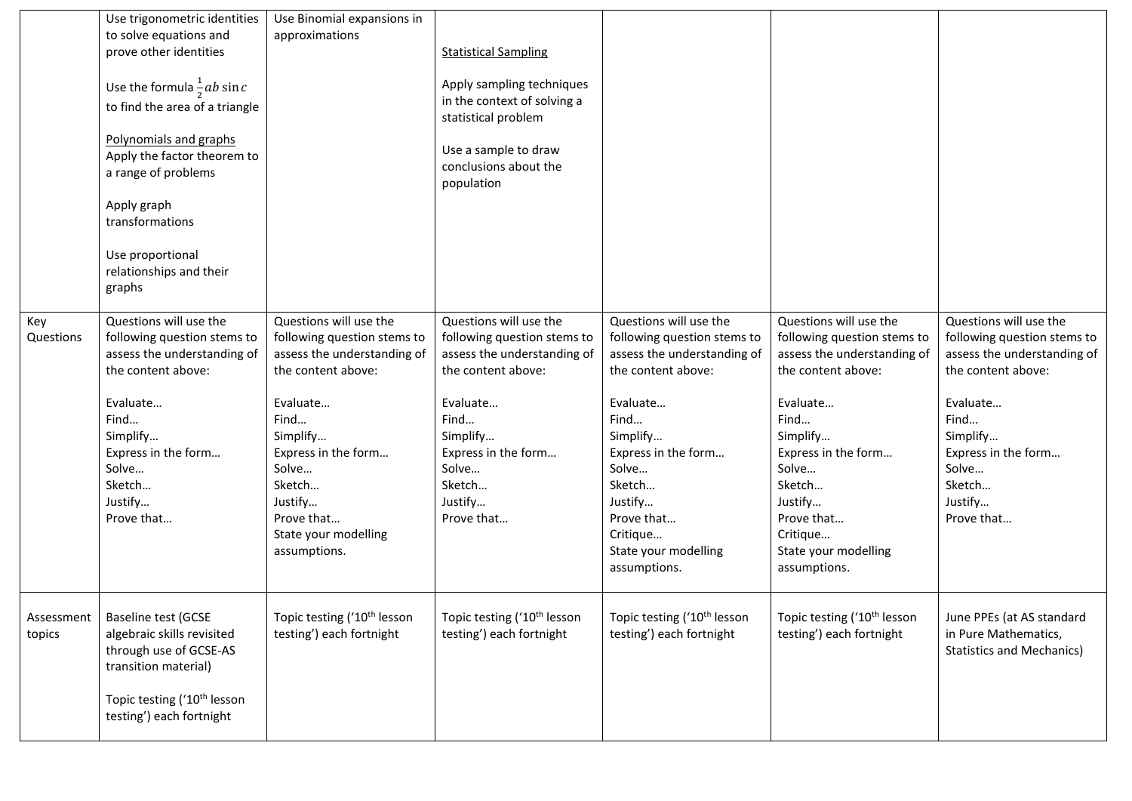|            | Use trigonometric identities            | Use Binomial expansions in              |                                         |                                         |                                         |                                  |
|------------|-----------------------------------------|-----------------------------------------|-----------------------------------------|-----------------------------------------|-----------------------------------------|----------------------------------|
|            | to solve equations and                  | approximations                          |                                         |                                         |                                         |                                  |
|            | prove other identities                  |                                         | <b>Statistical Sampling</b>             |                                         |                                         |                                  |
|            |                                         |                                         |                                         |                                         |                                         |                                  |
|            | Use the formula $\frac{1}{2}ab \sin c$  |                                         | Apply sampling techniques               |                                         |                                         |                                  |
|            | to find the area of a triangle          |                                         | in the context of solving a             |                                         |                                         |                                  |
|            |                                         |                                         | statistical problem                     |                                         |                                         |                                  |
|            | Polynomials and graphs                  |                                         |                                         |                                         |                                         |                                  |
|            | Apply the factor theorem to             |                                         | Use a sample to draw                    |                                         |                                         |                                  |
|            | a range of problems                     |                                         | conclusions about the                   |                                         |                                         |                                  |
|            |                                         |                                         | population                              |                                         |                                         |                                  |
|            | Apply graph                             |                                         |                                         |                                         |                                         |                                  |
|            | transformations                         |                                         |                                         |                                         |                                         |                                  |
|            |                                         |                                         |                                         |                                         |                                         |                                  |
|            | Use proportional                        |                                         |                                         |                                         |                                         |                                  |
|            | relationships and their                 |                                         |                                         |                                         |                                         |                                  |
|            | graphs                                  |                                         |                                         |                                         |                                         |                                  |
| Key        | Questions will use the                  | Questions will use the                  | Questions will use the                  | Questions will use the                  | Questions will use the                  | Questions will use the           |
| Questions  | following question stems to             | following question stems to             | following question stems to             | following question stems to             | following question stems to             | following question stems to      |
|            | assess the understanding of             | assess the understanding of             | assess the understanding of             | assess the understanding of             | assess the understanding of             | assess the understanding of      |
|            | the content above:                      | the content above:                      | the content above:                      | the content above:                      | the content above:                      | the content above:               |
|            |                                         |                                         |                                         |                                         |                                         |                                  |
|            | Evaluate                                | Evaluate                                | Evaluate                                | Evaluate                                | Evaluate                                | Evaluate                         |
|            | Find                                    | Find                                    | Find                                    | Find                                    | Find                                    | Find                             |
|            | Simplify                                | Simplify                                | Simplify                                | Simplify                                | Simplify                                | Simplify                         |
|            | Express in the form                     | Express in the form                     | Express in the form                     | Express in the form                     | Express in the form                     | Express in the form              |
|            | Solve                                   | Solve                                   | Solve                                   | Solve                                   | Solve                                   | Solve                            |
|            | Sketch                                  | Sketch                                  | Sketch                                  | Sketch                                  | Sketch                                  | Sketch                           |
|            | Justify                                 | Justify                                 | Justify                                 | Justify                                 | Justify                                 | Justify                          |
|            | Prove that                              | Prove that                              | Prove that                              | Prove that                              | Prove that                              | Prove that                       |
|            |                                         | State your modelling                    |                                         | Critique                                | Critique                                |                                  |
|            |                                         | assumptions.                            |                                         | State your modelling                    | State your modelling                    |                                  |
|            |                                         |                                         |                                         | assumptions.                            | assumptions.                            |                                  |
|            |                                         |                                         |                                         |                                         |                                         |                                  |
| Assessment | Baseline test (GCSE                     | Topic testing ('10 <sup>th</sup> lesson | Topic testing ('10 <sup>th</sup> lesson | Topic testing ('10 <sup>th</sup> lesson | Topic testing ('10 <sup>th</sup> lesson | June PPEs (at AS standard        |
| topics     | algebraic skills revisited              | testing') each fortnight                | testing') each fortnight                | testing') each fortnight                | testing') each fortnight                | in Pure Mathematics,             |
|            | through use of GCSE-AS                  |                                         |                                         |                                         |                                         | <b>Statistics and Mechanics)</b> |
|            | transition material)                    |                                         |                                         |                                         |                                         |                                  |
|            |                                         |                                         |                                         |                                         |                                         |                                  |
|            | Topic testing ('10 <sup>th</sup> lesson |                                         |                                         |                                         |                                         |                                  |
|            | testing') each fortnight                |                                         |                                         |                                         |                                         |                                  |
|            |                                         |                                         |                                         |                                         |                                         |                                  |